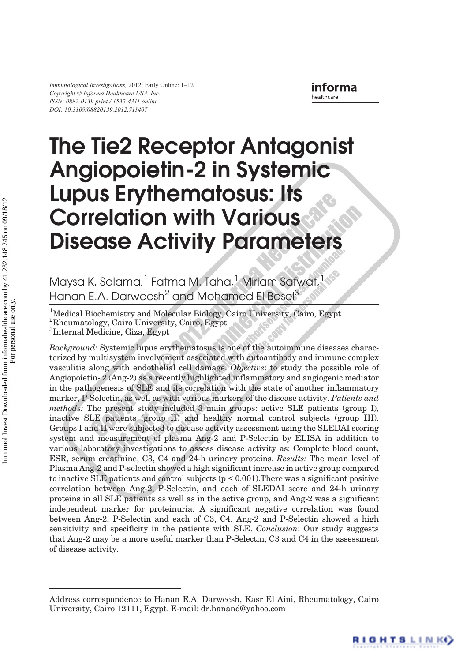Immunological Investigations, 2012; Early Online: 1–<sup>12</sup> ISSN: 0882-0139 print / 1532-4311 online DOI: 10.3109/08820139.2012.711407

RIGHTS LINK()

# The Tie2 Receptor Antagonist Angiopoietin-2 in Systemic Lupus Erythematosus: Its Correlation with Various Disease Activity Parameters

Maysa K. Salama,<sup>1</sup> Fatma M. Taha,<sup>1</sup> Miriam Safwat,<sup>1</sup> Hanan E.A. Darweesh<sup>2</sup> and Mohamed El Basel<sup>3</sup>

<sup>1</sup>Medical Biochemistry and Molecular Biology, Cairo University, Cairo, Egypt 2 Rheumatology, Cairo University, Cairo, Egypt 3 Internal Medicine, Giza, Egypt

Background: Systemic lupus erythematosus is one of the autoimmune diseases characterized by multisystem involvement associated with autoantibody and immune complex vasculitis along with endothelial cell damage. Objective: to study the possible role of Angiopoietin- 2 (Ang-2) as a recently highlighted inflammatory and angiogenic mediator in the pathogenesis of SLE and its correlation with the state of another inflammatory marker, P-Selectin, as well as with various markers of the disease activity. Patients and methods: The present study included 3 main groups: active SLE patients (group I), inactive SLE patients (group II) and healthy normal control subjects (group III). Groups I and II were subjected to disease activity assessment using the SLEDAI scoring system and measurement of plasma Ang-2 and P-Selectin by ELISA in addition to various laboratory investigations to assess disease activity as: Complete blood count, ESR, serum creatinine, C3, C4 and 24-h urinary proteins. Results: The mean level of Plasma Ang-2 and P-selectin showed a high significant increase in active group compared to inactive SLE patients and control subjects  $(p < 0.001)$ . There was a significant positive correlation between Ang-2, P-Selectin, and each of SLEDAI score and 24-h urinary proteins in all SLE patients as well as in the active group, and Ang-2 was a significant independent marker for proteinuria. A significant negative correlation was found between Ang-2, P-Selectin and each of C3, C4. Ang-2 and P-Selectin showed a high sensitivity and specificity in the patients with SLE. Conclusion: Our study suggests that Ang-2 may be a more useful marker than P-Selectin, C3 and C4 in the assessment of disease activity.

Address correspondence to Hanan E.A. Darweesh, Kasr El Aini, Rheumatology, Cairo University, Cairo 12111, Egypt. E-mail: dr.hanand@yahoo.com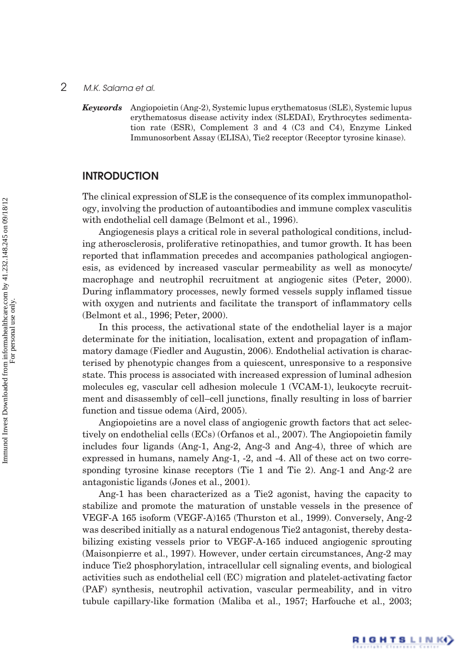Keywords Angiopoietin (Ang-2), Systemic lupus erythematosus (SLE), Systemic lupus erythematosus disease activity index (SLEDAI), Erythrocytes sedimentation rate (ESR), Complement 3 and 4 (C3 and C4), Enzyme Linked Immunosorbent Assay (ELISA), Tie2 receptor (Receptor tyrosine kinase).

# **INTRODUCTION**

The clinical expression of SLE is the consequence of its complex immunopathology, involving the production of autoantibodies and immune complex vasculitis with endothelial cell damage (Belmont et al., 1996).

Angiogenesis plays a critical role in several pathological conditions, including atherosclerosis, proliferative retinopathies, and tumor growth. It has been reported that inflammation precedes and accompanies pathological angiogenesis, as evidenced by increased vascular permeability as well as monocyte/ macrophage and neutrophil recruitment at angiogenic sites (Peter, 2000). During inflammatory processes, newly formed vessels supply inflamed tissue with oxygen and nutrients and facilitate the transport of inflammatory cells (Belmont et al., 1996; Peter, 2000).

In this process, the activational state of the endothelial layer is a major determinate for the initiation, localisation, extent and propagation of inflammatory damage (Fiedler and Augustin, 2006). Endothelial activation is characterised by phenotypic changes from a quiescent, unresponsive to a responsive state. This process is associated with increased expression of luminal adhesion molecules eg, vascular cell adhesion molecule 1 (VCAM-1), leukocyte recruitment and disassembly of cell–cell junctions, finally resulting in loss of barrier function and tissue odema (Aird, 2005).

Angiopoietins are a novel class of angiogenic growth factors that act selectively on endothelial cells (ECs) (Orfanos et al., 2007). The Angiopoietin family includes four ligands (Ang-1, Ang-2, Ang-3 and Ang-4), three of which are expressed in humans, namely Ang-1, -2, and -4. All of these act on two corresponding tyrosine kinase receptors (Tie 1 and Tie 2). Ang-1 and Ang-2 are antagonistic ligands (Jones et al., 2001).

Ang-1 has been characterized as a Tie2 agonist, having the capacity to stabilize and promote the maturation of unstable vessels in the presence of VEGF-A 165 isoform (VEGF-A)165 (Thurston et al., 1999). Conversely, Ang-2 was described initially as a natural endogenous Tie2 antagonist, thereby destabilizing existing vessels prior to VEGF-A-165 induced angiogenic sprouting (Maisonpierre et al., 1997). However, under certain circumstances, Ang-2 may induce Tie2 phosphorylation, intracellular cell signaling events, and biological activities such as endothelial cell (EC) migration and platelet-activating factor (PAF) synthesis, neutrophil activation, vascular permeability, and in vitro tubule capillary-like formation (Maliba et al., 1957; Harfouche et al., 2003;

RIGHTS LINK()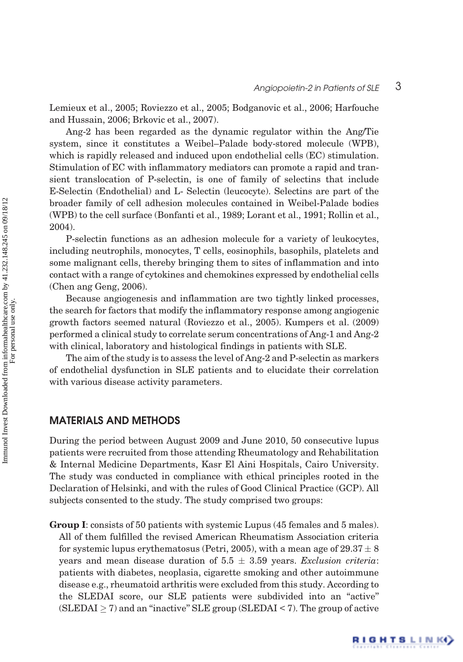RIGHTS LINK()

Lemieux et al., 2005; Roviezzo et al., 2005; Bodganovic et al., 2006; Harfouche and Hussain, 2006; Brkovic et al., 2007).

Ang-2 has been regarded as the dynamic regulator within the Ang/Tie system, since it constitutes a Weibel–Palade body-stored molecule (WPB), which is rapidly released and induced upon endothelial cells (EC) stimulation. Stimulation of EC with inflammatory mediators can promote a rapid and transient translocation of P-selectin, is one of family of selectins that include E-Selectin (Endothelial) and L- Selectin (leucocyte). Selectins are part of the broader family of cell adhesion molecules contained in Weibel-Palade bodies (WPB) to the cell surface (Bonfanti et al., 1989; Lorant et al., 1991; Rollin et al., 2004).

P-selectin functions as an adhesion molecule for a variety of leukocytes, including neutrophils, monocytes, T cells, eosinophils, basophils, platelets and some malignant cells, thereby bringing them to sites of inflammation and into contact with a range of cytokines and chemokines expressed by endothelial cells (Chen ang Geng, 2006).

Because angiogenesis and inflammation are two tightly linked processes, the search for factors that modify the inflammatory response among angiogenic growth factors seemed natural (Roviezzo et al., 2005). Kumpers et al. (2009) performed a clinical study to correlate serum concentrations of Ang-1 and Ang-2 with clinical, laboratory and histological findings in patients with SLE.

The aim of the study is to assess the level of Ang-2 and P-selectin as markers of endothelial dysfunction in SLE patients and to elucidate their correlation with various disease activity parameters.

# MATERIALS AND METHODS

During the period between August 2009 and June 2010, 50 consecutive lupus patients were recruited from those attending Rheumatology and Rehabilitation & Internal Medicine Departments, Kasr El Aini Hospitals, Cairo University. The study was conducted in compliance with ethical principles rooted in the Declaration of Helsinki, and with the rules of Good Clinical Practice (GCP). All subjects consented to the study. The study comprised two groups:

Group I: consists of 50 patients with systemic Lupus (45 females and 5 males). All of them fulfilled the revised American Rheumatism Association criteria for systemic lupus erythematosus (Petri, 2005), with a mean age of  $29.37 \pm 8$ years and mean disease duration of  $5.5 \pm 3.59$  years. Exclusion criteria: patients with diabetes, neoplasia, cigarette smoking and other autoimmune disease e.g., rheumatoid arthritis were excluded from this study. According to the SLEDAI score, our SLE patients were subdivided into an ''active'' (SLEDAI  $\geq$  7) and an "inactive" SLE group (SLEDAI < 7). The group of active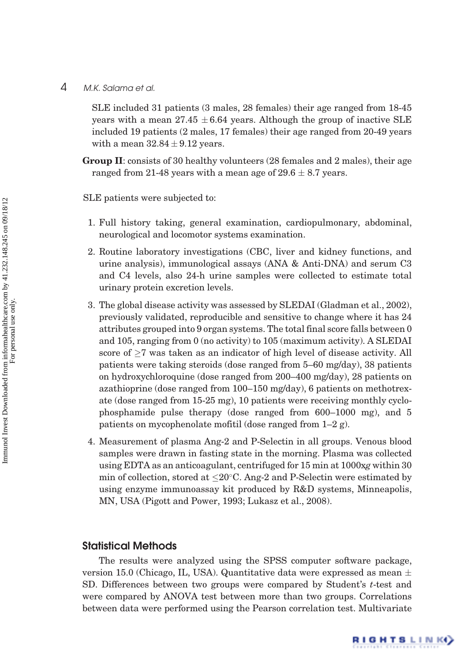SLE included 31 patients (3 males, 28 females) their age ranged from 18-45 years with a mean  $27.45 \pm 6.64$  years. Although the group of inactive SLE included 19 patients (2 males, 17 females) their age ranged from 20-49 years with a mean  $32.84 \pm 9.12$  years.

Group II: consists of 30 healthy volunteers (28 females and 2 males), their age ranged from 21-48 years with a mean age of  $29.6 \pm 8.7$  years.

SLE patients were subjected to:

- 1. Full history taking, general examination, cardiopulmonary, abdominal, neurological and locomotor systems examination.
- 2. Routine laboratory investigations (CBC, liver and kidney functions, and urine analysis), immunological assays (ANA & Anti-DNA) and serum C3 and C4 levels, also 24-h urine samples were collected to estimate total urinary protein excretion levels.
- 3. The global disease activity was assessed by SLEDAI (Gladman et al., 2002), previously validated, reproducible and sensitive to change where it has 24 attributes grouped into 9 organ systems. The total final score falls between 0 and 105, ranging from 0 (no activity) to 105 (maximum activity). A SLEDAI score of  $\geq$ 7 was taken as an indicator of high level of disease activity. All patients were taking steroids (dose ranged from 5–60 mg/day), 38 patients on hydroxychloroquine (dose ranged from 200–400 mg/day), 28 patients on azathioprine (dose ranged from 100–150 mg/day), 6 patients on methotrexate (dose ranged from 15-25 mg), 10 patients were receiving monthly cyclophosphamide pulse therapy (dose ranged from 600–1000 mg), and 5 patients on mycophenolate mofitil (dose ranged from 1–2 g).
- 4. Measurement of plasma Ang-2 and P-Selectin in all groups. Venous blood samples were drawn in fasting state in the morning. Plasma was collected using EDTA as an anticoagulant, centrifuged for 15 min at 1000xg within 30 min of collection, stored at  $\leq$ 20°C. Ang-2 and P-Selectin were estimated by using enzyme immunoassay kit produced by R&D systems, Minneapolis, MN, USA (Pigott and Power, 1993; Lukasz et al., 2008).

#### Statistical Methods

The results were analyzed using the SPSS computer software package, version 15.0 (Chicago, IL, USA). Quantitative data were expressed as mean  $\pm$ SD. Differences between two groups were compared by Student's t-test and were compared by ANOVA test between more than two groups. Correlations between data were performed using the Pearson correlation test. Multivariate

RIGHTS LINK()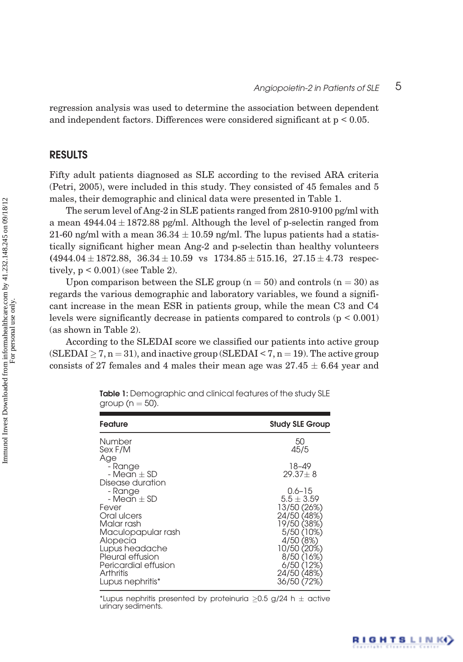RIGHTS LINK()

regression analysis was used to determine the association between dependent and independent factors. Differences were considered significant at p < 0.05.

## RESULTS

Fifty adult patients diagnosed as SLE according to the revised ARA criteria (Petri, 2005), were included in this study. They consisted of 45 females and 5 males, their demographic and clinical data were presented in Table 1.

The serum level of Ang-2 in SLE patients ranged from 2810-9100 pg/ml with a mean  $4944.04 \pm 1872.88$  pg/ml. Although the level of p-selectin ranged from 21-60 ng/ml with a mean  $36.34 \pm 10.59$  ng/ml. The lupus patients had a statistically significant higher mean Ang-2 and p-selectin than healthy volunteers  $(4944.04 \pm 1872.88, 36.34 \pm 10.59 \text{ vs } 1734.85 \pm 515.16, 27.15 \pm 4.73 \text{ respectively})$ tively,  $p < 0.001$ ) (see Table 2).

Upon comparison between the SLE group  $(n = 50)$  and controls  $(n = 30)$  as regards the various demographic and laboratory variables, we found a significant increase in the mean ESR in patients group, while the mean C3 and C4 levels were significantly decrease in patients compared to controls (p < 0.001) (as shown in Table 2).

According to the SLEDAI score we classified our patients into active group (SLEDAI  $\geq$  7, n = 31), and inactive group (SLEDAI < 7, n = 19). The active group consists of 27 females and 4 males their mean age was  $27.45 \pm 6.64$  year and

| <b>Feature</b>                                                                                                                                                                                | <b>Study SLE Group</b>                                                                                                                                                     |
|-----------------------------------------------------------------------------------------------------------------------------------------------------------------------------------------------|----------------------------------------------------------------------------------------------------------------------------------------------------------------------------|
| Number<br>Sex F/M<br>Age                                                                                                                                                                      | 50<br>45/5                                                                                                                                                                 |
| - Range<br>- Mean + SD<br>Disease duration                                                                                                                                                    | 18-49<br>$29.37 + 8$                                                                                                                                                       |
| - Range<br>- Mean + SD<br>Fever<br>Oral ulcers<br>Malar rash<br>Maculopapular rash<br>Alopecia<br>Lupus headache<br>Pleural effusion<br>Pericardial effusion<br>Arthritis<br>Lupus nephritis* | $0.6 - 15$<br>$5.5 + 3.59$<br>13/50 (26%)<br>24/50 (48%)<br>19/50 (38%)<br>5/50 (10%)<br>4/50 (8%)<br>10/50 (20%)<br>8/50 (16%)<br>6/50 (12%)<br>24/50 (48%)<br>36/50 (72% |

Table 1: Demographic and clinical features of the study SLE group ( $n = 50$ ).

\*Lupus nephritis presented by proteinuria  $\geq$ 0.5 g/24 h  $\pm$  active urinary sediments.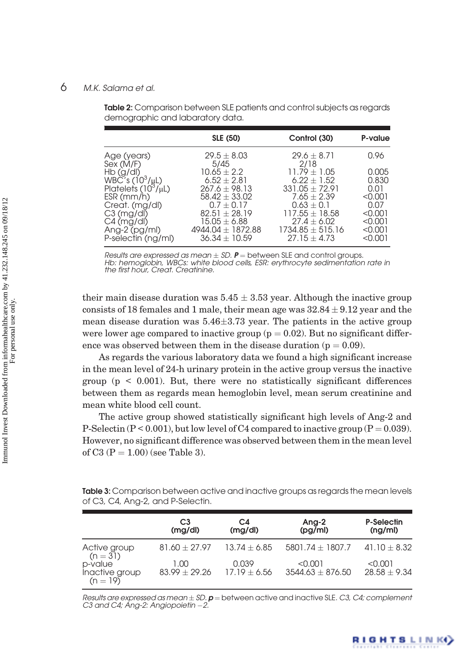Table 2: Comparison between SLE patients and control subjects as regards demographic and labaratory data.

|                             | <b>SLE (50)</b>       | Control (30)         | P-value |
|-----------------------------|-----------------------|----------------------|---------|
| Age (years)                 | $29.5 \pm 8.03$       | $29.6 + 8.71$        | 0.96    |
| Sex (M/F)                   | 5/45                  | 2/18                 |         |
| Hb (g/dl)                   | $10.65 + 2.2$         | $11.79 + 1.05$       | 0.005   |
| WBČ´s (10 <sup>3</sup> /µL) | $6.52 + 2.81$         | $6.22 \pm 1.52$      | 0.830   |
| Platelets (10°/µL)          | $267.6 \pm 98.13$     | $331.05 + 72.91$     | 0.01    |
| ESR (mm/h)                  | $58.42 + 33.02$       | $7.65 + 2.39$        | < 0.001 |
| Creat. (mg/dl)              | $0.7 + 0.17$          | $0.63 + 0.1$         | 0.07    |
| C3 (mg/dl)                  | $82.51 + 28.19$       | $117.55 + 18.58$     | < 0.001 |
| C4 (mg/dl)                  | $15.05\pm 6.88$       | $27.4 \pm 6.02$      | < 0.001 |
| Ang-2 (pg/ml)               | $4944.04 \pm 1872.88$ | $1734.85 \pm 515.16$ | < 0.001 |
| P-selectin (ng/ml)          | $36.34 + 10.59$       | $27.15 + 4.73$       | < 0.001 |
|                             |                       |                      |         |

Results are expressed as mean  $\pm$  SD. **P** = between SLE and control groups. Hb: hemoglobin, WBCs: white blood cells, ESR: erythrocyte sedimentation rate in

the first hour, Creat. Creatinine.

their main disease duration was  $5.45 \pm 3.53$  year. Although the inactive group consists of 18 females and 1 male, their mean age was  $32.84 \pm 9.12$  year and the mean disease duration was  $5.46 \pm 3.73$  year. The patients in the active group were lower age compared to inactive group ( $p = 0.02$ ). But no significant difference was observed between them in the disease duration ( $p = 0.09$ ).

As regards the various laboratory data we found a high significant increase in the mean level of 24-h urinary protein in the active group versus the inactive group  $(p \leq 0.001)$ . But, there were no statistically significant differences between them as regards mean hemoglobin level, mean serum creatinine and mean white blood cell count.

The active group showed statistically significant high levels of Ang-2 and P-Selectin ( $P < 0.001$ ), but low level of C4 compared to inactive group ( $P = 0.039$ ). However, no significant difference was observed between them in the mean level of C3 ( $P = 1.00$ ) (see Table 3).

| <b>Table 3:</b> Comparison between active and inactive groups as regards the mean levels |  |
|------------------------------------------------------------------------------------------|--|
| of C3, C4, Ang-2, and P-Selectin.                                                        |  |

|                                         | C <sub>3</sub><br>(mg/dl) | C4<br>(mg/dl)           | Ang-2<br>(pg/ml)                | P-Selectin<br>(ng/ml)     |
|-----------------------------------------|---------------------------|-------------------------|---------------------------------|---------------------------|
| Active group<br>$(n = 31)$              | $81.60 + 27.97$           | $13.74 + 6.85$          | 5801.74 $\pm$ 1807.7            | 41.10 $\pm$ 8.32          |
| p-value<br>Inactive group<br>$(n = 19)$ | 1.00<br>$83.99 + 29.26$   | 0.039<br>$17.19 + 6.56$ | < 0.001<br>$3544.63 \pm 876.50$ | < 0.001<br>$28.58 + 9.34$ |

Results are expressed as mean  $\pm$  SD. **p** = between active and inactive SLE. *C3, C4; complement*<br>C3 and C4; Ang-2: Angiopoietin –2.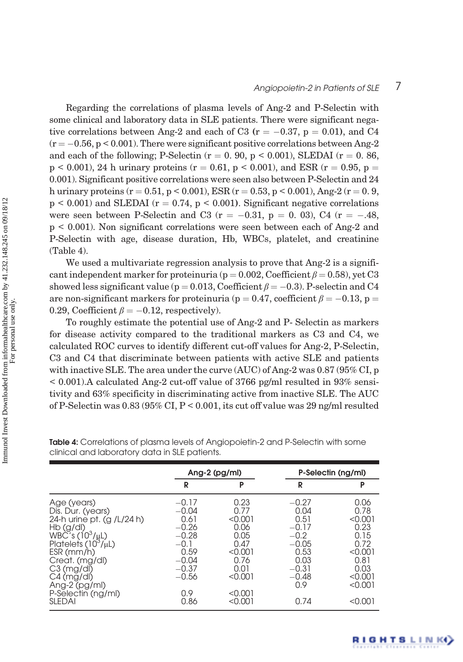# Angiopoietin-2 in Patients of SLE 7

RIGHTS LINK()

Regarding the correlations of plasma levels of Ang-2 and P-Selectin with some clinical and laboratory data in SLE patients. There were significant negative correlations between Ang-2 and each of C3 ( $r = -0.37$ ,  $p = 0.01$ ), and C4  $(r = -0.56, p \le 0.001)$ . There were significant positive correlations between Ang-2 and each of the following; P-Selectin ( $r = 0.90$ ,  $p < 0.001$ ), SLEDAI ( $r = 0.86$ ,  $p \le 0.001$ , 24 h urinary proteins ( $r = 0.61$ ,  $p \le 0.001$ ), and ESR ( $r = 0.95$ ,  $p =$ 0.001). Significant positive correlations were seen also between P-Selectin and 24 h urinary proteins (r = 0.51, p < 0.001), ESR (r = 0.53, p < 0.001), Ang-2 (r = 0.9,  $p \leq 0.001$  and SLEDAI ( $r = 0.74$ ,  $p \leq 0.001$ ). Significant negative correlations were seen between P-Selectin and C3 ( $r = -0.31$ ,  $p = 0.03$ ), C4 ( $r = -0.48$ , p < 0.001). Non significant correlations were seen between each of Ang-2 and P-Selectin with age, disease duration, Hb, WBCs, platelet, and creatinine (Table 4).

We used a multivariate regression analysis to prove that Ang-2 is a significant independent marker for proteinuria ( $p = 0.002$ , Coefficient  $\beta = 0.58$ ), yet C3 showed less significant value ( $p = 0.013$ , Coefficient  $\beta = -0.3$ ). P-selectin and C4 are non-significant markers for proteinuria ( $p = 0.47$ , coefficient  $\beta = -0.13$ , p = 0.29, Coefficient  $\beta = -0.12$ , respectively).

To roughly estimate the potential use of Ang-2 and P- Selectin as markers for disease activity compared to the traditional markers as C3 and C4, we calculated ROC curves to identify different cut-off values for Ang-2, P-Selectin, C3 and C4 that discriminate between patients with active SLE and patients with inactive SLE. The area under the curve (AUC) of Ang-2 was 0.87 (95% CI, p < 0.001).A calculated Ang-2 cut-off value of 3766 pg/ml resulted in 93% sensitivity and 63% specificity in discriminating active from inactive SLE. The AUC of P-Selectin was 0.83 (95% CI, P < 0.001, its cut off value was 29 ng/ml resulted

|                                                                                                                                                                                                                                                            | Ang-2 $(pg/ml)$                                                                                                    |                                                                                                             | P-Selectin (ng/ml)                                                                                           |                                                                                                             |
|------------------------------------------------------------------------------------------------------------------------------------------------------------------------------------------------------------------------------------------------------------|--------------------------------------------------------------------------------------------------------------------|-------------------------------------------------------------------------------------------------------------|--------------------------------------------------------------------------------------------------------------|-------------------------------------------------------------------------------------------------------------|
|                                                                                                                                                                                                                                                            | R                                                                                                                  | P                                                                                                           | R                                                                                                            | P                                                                                                           |
| Age (years)<br>Dis. Dur. (years)<br>24-h urine pt. (g /L/24 h)<br>Hb (g/dl)<br>$WB\check{C}'s(10^3/\mu L)$<br>Platelets $(10^3/\mu L)$<br>ESR (mm/h)<br>Creat. (mg/dl)<br>C3 (mg/dl)<br>C4 (mg/dl)<br>Ang-2 (pg/ml)<br>P-Selectin (ng/ml)<br><b>SLEDAI</b> | $-0.17$<br>$-0.04$<br>0.61<br>$-0.26$<br>$-0.28$<br>$-0.1$<br>0.59<br>$-0.04$<br>$-0.37$<br>$-0.56$<br>0.9<br>0.86 | 0.23<br>0.77<br>< 0.001<br>0.06<br>0.05<br>0.47<br>< 0.001<br>0.76<br>0.01<br>< 0.001<br>< 0.001<br>< 0.001 | $-0.27$<br>0.04<br>0.51<br>$-0.17$<br>$-0.2$<br>$-0.05$<br>0.53<br>0.03<br>$-0.31$<br>$-0.48$<br>0.9<br>0.74 | 0.06<br>0.78<br>< 0.001<br>0.23<br>0.15<br>0.72<br>< 0.001<br>0.81<br>0.03<br>< 0.001<br>< 0.001<br>< 0.001 |

Table 4: Correlations of plasma levels of Angiopoietin-2 and P-Selectin with some clinical and laboratory data in SLE patients.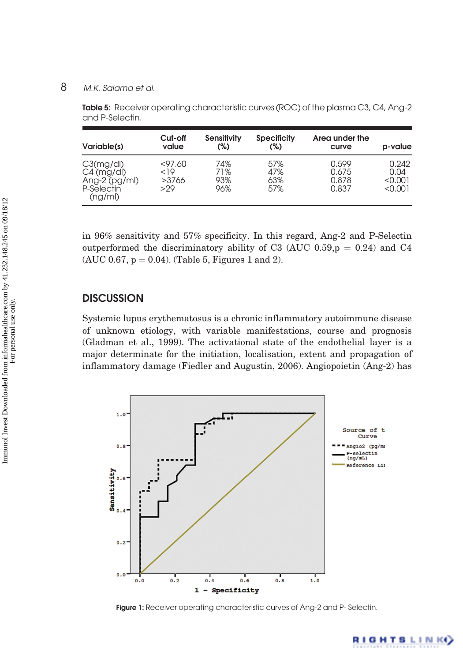Table 5: Receiver operating characteristic curves (ROC) of the plasma C3, C4, Ang-2 and P-Selectin.

| Variable(s)                                                                    | Cut-off<br>value                | Sensitivity<br>(%)       | <b>Specificity</b><br>(%) | Area under the<br>curve          | p-value                             |
|--------------------------------------------------------------------------------|---------------------------------|--------------------------|---------------------------|----------------------------------|-------------------------------------|
| C3(mg/dl)<br>$C4 \text{ (mg/dl)}$<br>Ang- $2$ (pg/ml)<br>P-Selectin<br>(ng/ml) | $<$ 97.60<br>19<br>>3766<br>>29 | 74%<br>71%<br>93%<br>96% | 57%<br>47%<br>63%<br>57%  | 0.599<br>0.675<br>0.878<br>0.837 | 0.242<br>0.04<br>< 0.001<br>< 0.001 |

in 96% sensitivity and 57% specificity. In this regard, Ang-2 and P-Selectin outperformed the discriminatory ability of C3 (AUC 0.59, $p = 0.24$ ) and C4 (AUC 0.67,  $p = 0.04$ ). (Table 5, Figures 1 and 2).

## **DISCUSSION**

Systemic lupus erythematosus is a chronic inflammatory autoimmune disease of unknown etiology, with variable manifestations, course and prognosis (Gladman et al., 1999). The activational state of the endothelial layer is a major determinate for the initiation, localisation, extent and propagation of inflammatory damage (Fiedler and Augustin, 2006). Angiopoietin (Ang-2) has



Figure 1: Receiver operating characteristic curves of Ang-2 and P-Selectin.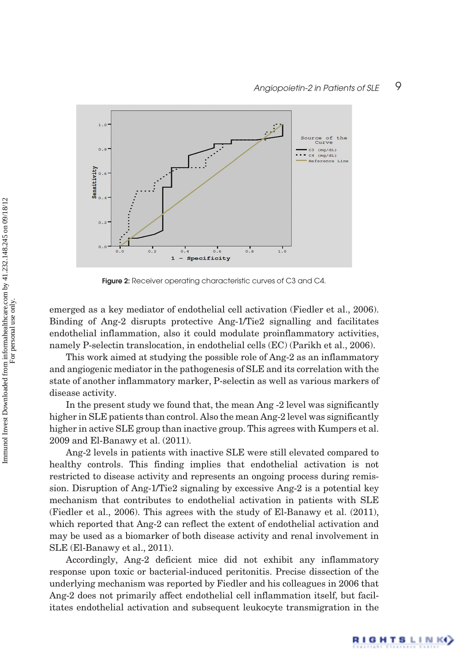RIGHTSLINK()



Figure 2: Receiver operating characteristic curves of C3 and C4.

emerged as a key mediator of endothelial cell activation (Fiedler et al., 2006). Binding of Ang-2 disrupts protective Ang-1/Tie2 signalling and facilitates endothelial inflammation, also it could modulate proinflammatory activities, namely P-selectin translocation, in endothelial cells (EC) (Parikh et al., 2006).

This work aimed at studying the possible role of Ang-2 as an inflammatory and angiogenic mediator in the pathogenesis of SLE and its correlation with the state of another inflammatory marker, P-selectin as well as various markers of disease activity.

In the present study we found that, the mean Ang -2 level was significantly higher in SLE patients than control. Also the mean Ang-2 level was significantly higher in active SLE group than inactive group. This agrees with Kumpers et al. 2009 and El-Banawy et al. (2011).

Ang-2 levels in patients with inactive SLE were still elevated compared to healthy controls. This finding implies that endothelial activation is not restricted to disease activity and represents an ongoing process during remission. Disruption of Ang-1/Tie2 signaling by excessive Ang-2 is a potential key mechanism that contributes to endothelial activation in patients with SLE (Fiedler et al., 2006). This agrees with the study of El-Banawy et al. (2011), which reported that Ang-2 can reflect the extent of endothelial activation and may be used as a biomarker of both disease activity and renal involvement in SLE (El-Banawy et al., 2011).

Accordingly, Ang-2 deficient mice did not exhibit any inflammatory response upon toxic or bacterial-induced peritonitis. Precise dissection of the underlying mechanism was reported by Fiedler and his colleagues in 2006 that Ang-2 does not primarily affect endothelial cell inflammation itself, but facilitates endothelial activation and subsequent leukocyte transmigration in the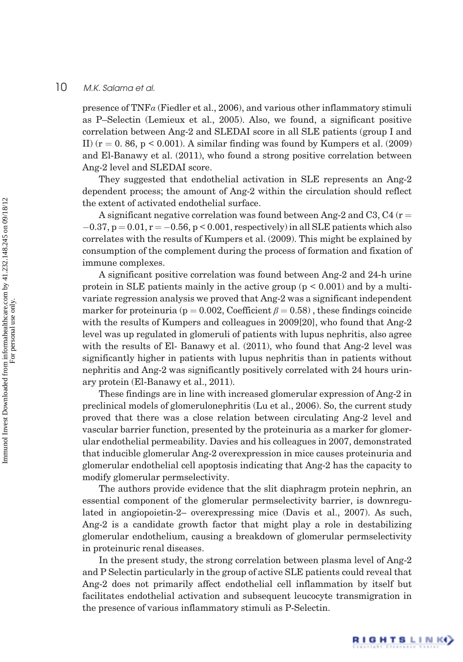presence of  $TNF\alpha$  (Fiedler et al., 2006), and various other inflammatory stimuli as P–Selectin (Lemieux et al., 2005). Also, we found, a significant positive correlation between Ang-2 and SLEDAI score in all SLE patients (group I and II)  $(r = 0.86, p < 0.001)$ . A similar finding was found by Kumpers et al. (2009) and El-Banawy et al. (2011), who found a strong positive correlation between Ang-2 level and SLEDAI score.

They suggested that endothelial activation in SLE represents an Ang-2 dependent process; the amount of Ang-2 within the circulation should reflect the extent of activated endothelial surface.

A significant negative correlation was found between Ang-2 and C3, C4 ( $r =$  $-0.37$ ,  $p = 0.01$ ,  $r = -0.56$ ,  $p < 0.001$ , respectively) in all SLE patients which also correlates with the results of Kumpers et al. (2009). This might be explained by consumption of the complement during the process of formation and fixation of immune complexes.

A significant positive correlation was found between Ang-2 and 24-h urine protein in SLE patients mainly in the active group  $(p < 0.001)$  and by a multivariate regression analysis we proved that Ang-2 was a significant independent marker for proteinuria (p = 0.002, Coefficient  $\beta = 0.58$ ), these findings coincide with the results of Kumpers and colleagues in 2009[20], who found that Ang-2 level was up regulated in glomeruli of patients with lupus nephritis, also agree with the results of El- Banawy et al. (2011), who found that Ang-2 level was significantly higher in patients with lupus nephritis than in patients without nephritis and Ang-2 was significantly positively correlated with 24 hours urinary protein (El-Banawy et al., 2011).

These findings are in line with increased glomerular expression of Ang-2 in preclinical models of glomerulonephritis (Lu et al., 2006). So, the current study proved that there was a close relation between circulating Ang-2 level and vascular barrier function, presented by the proteinuria as a marker for glomerular endothelial permeability. Davies and his colleagues in 2007, demonstrated that inducible glomerular Ang-2 overexpression in mice causes proteinuria and glomerular endothelial cell apoptosis indicating that Ang-2 has the capacity to modify glomerular permselectivity.

The authors provide evidence that the slit diaphragm protein nephrin, an essential component of the glomerular permselectivity barrier, is downregulated in angiopoietin-2– overexpressing mice (Davis et al., 2007). As such, Ang-2 is a candidate growth factor that might play a role in destabilizing glomerular endothelium, causing a breakdown of glomerular permselectivity in proteinuric renal diseases.

In the present study, the strong correlation between plasma level of Ang-2 and P Selectin particularly in the group of active SLE patients could reveal that Ang-2 does not primarily affect endothelial cell inflammation by itself but facilitates endothelial activation and subsequent leucocyte transmigration in the presence of various inflammatory stimuli as P-Selectin.

RIGHTS LINK()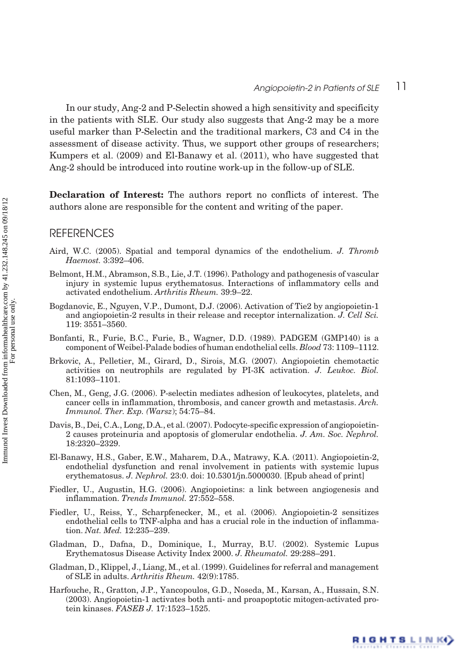In our study, Ang-2 and P-Selectin showed a high sensitivity and specificity in the patients with SLE. Our study also suggests that Ang-2 may be a more useful marker than P-Selectin and the traditional markers, C3 and C4 in the assessment of disease activity. Thus, we support other groups of researchers; Kumpers et al. (2009) and El-Banawy et al. (2011), who have suggested that Ang-2 should be introduced into routine work-up in the follow-up of SLE.

Declaration of Interest: The authors report no conflicts of interest. The authors alone are responsible for the content and writing of the paper.

#### **REFERENCES**

- Aird, W.C. (2005). Spatial and temporal dynamics of the endothelium. J. Thromb Haemost. 3:392–406.
- Belmont, H.M., Abramson, S.B., Lie, J.T. (1996). Pathology and pathogenesis of vascular injury in systemic lupus erythematosus. Interactions of inflammatory cells and activated endothelium. Arthritis Rheum. 39:9–22.
- Bogdanovic, E., Nguyen, V.P., Dumont, D.J. (2006). Activation of Tie2 by angiopoietin-1 and angiopoietin-2 results in their release and receptor internalization. J. Cell Sci. 119: 3551–3560.
- Bonfanti, R., Furie, B.C., Furie, B., Wagner, D.D. (1989). PADGEM (GMP140) is a component of Weibel-Palade bodies of human endothelial cells. Blood 73: 1109–1112.
- Brkovic, A., Pelletier, M., Girard, D., Sirois, M.G. (2007). Angiopoietin chemotactic activities on neutrophils are regulated by PI-3K activation. J. Leukoc. Biol. 81:1093–1101.
- Chen, M., Geng, J.G. (2006). P-selectin mediates adhesion of leukocytes, platelets, and cancer cells in inflammation, thrombosis, and cancer growth and metastasis. Arch. Immunol. Ther. Exp. (Warsz); 54:75–84.
- Davis, B., Dei, C.A., Long, D.A., et al. (2007). Podocyte-specific expression of angiopoietin-2 causes proteinuria and apoptosis of glomerular endothelia. J. Am. Soc. Nephrol. 18:2320–2329.
- El-Banawy, H.S., Gaber, E.W., Maharem, D.A., Matrawy, K.A. (2011). Angiopoietin-2, endothelial dysfunction and renal involvement in patients with systemic lupus erythematosus. J. Nephrol. 23:0. doi: 10.5301/jn.5000030. [Epub ahead of print]
- Fiedler, U., Augustin, H.G. (2006). Angiopoietins: a link between angiogenesis and inflammation. Trends Immunol. 27:552–558.
- Fiedler, U., Reiss, Y., Scharpfenecker, M., et al. (2006). Angiopoietin-2 sensitizes endothelial cells to TNF-alpha and has a crucial role in the induction of inflammation. Nat. Med. 12:235–239.
- Gladman, D., Dafna, D., Dominique, I., Murray, B.U. (2002). Systemic Lupus Erythematosus Disease Activity Index 2000. J. Rheumatol. 29:288–291.
- Gladman, D., Klippel, J., Liang, M., et al. (1999). Guidelines for referral and management of SLE in adults. Arthritis Rheum. 42(9):1785.
- Harfouche, R., Gratton, J.P., Yancopoulos, G.D., Noseda, M., Karsan, A., Hussain, S.N. (2003). Angiopoietin-1 activates both anti- and proapoptotic mitogen-activated protein kinases. FASEB J. 17:1523–1525.